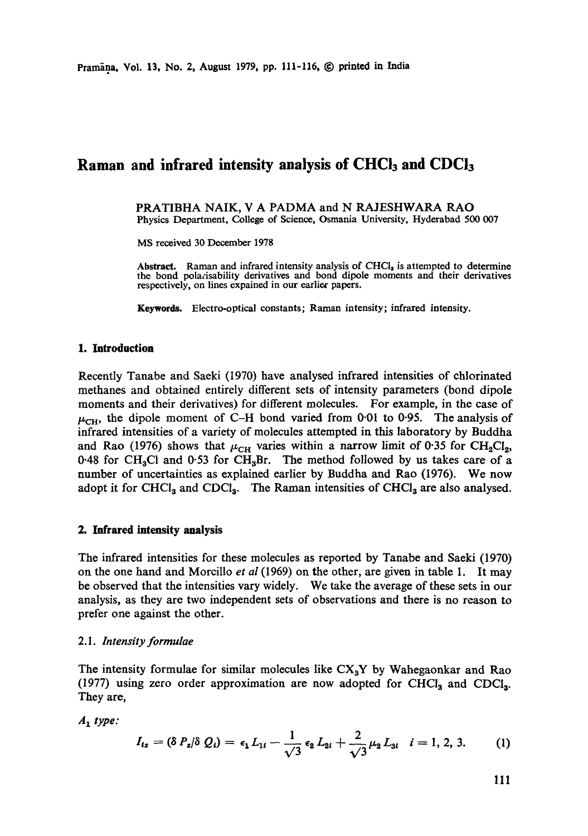# Raman and infrared intensity analysis of CHCl<sub>3</sub> and CDCl<sub>3</sub>

PRATIBHA NAIK, V A PADMA and N RAJESHWARA RAO Physics Department, College of Science, Osmania University, Hyderabad 500 007

MS received 30 December 1978

Abstract. Raman and infrared intensity analysis of  $CHCl<sub>3</sub>$  is attempted to determine the bond polarisability derivatives and bond dipole moments and their derivatives respectively, on lines expained in our earliex papers.

Keywords. Electro-optical constants; Raman intensity; infrared **intensity.** 

#### **1. Introduction**

Recently Tanabe and Saeki (1970) have analysed infrared intensities of chlorinated methanes and obtained entirely different sets of intensity parameters (bond dipole moments and their derivatives) for different molecules. For example, in the case of  $\mu_{CH}$ , the dipole moment of C-H bond varied from 0.01 to 0.95. The analysis of infrared intensities of a variety of molecules attempted in this laboratory by Buddha and Rao (1976) shows that  $\mu_{CH}$  varies within a narrow limit of 0.35 for CH<sub>2</sub>Cl<sub>2</sub>, 0.48 for CH<sub>3</sub>Cl and 0.53 for CH<sub>3</sub>Br. The method followed by us takes care of a number of uncertainties as explained earlier by Buddha and Rao (1976). We now adopt it for CHCl<sub>3</sub> and CDCl<sub>3</sub>. The Raman intensities of CHCl<sub>3</sub> are also analysed.

## **2. Infrared intensity analysis**

The infrared intensities for these molecules as reported by Tanabe and Saeki (1970) on the one hand and Morcillo *et aI* (1969) on the other, are given in table I. It may be observed that the intensities vary widely. We take the average of these sets in our analysis, as they are two independent sets of observations and there is no reason to prefer one against the other.

## *2.1. Intensity formulae*

The intensity formulae for similar molecules like  $CX<sub>a</sub>Y$  by Wahegaonkar and Rao (1977) using zero order approximation are now adopted for  $CHCl<sub>3</sub>$  and  $CDCl<sub>3</sub>$ . They are,

 $A_1$  type:

$$
I_{iz} = (\delta P_{z}/\delta Q_{i}) = \epsilon_{1} L_{1i} - \frac{1}{\sqrt{3}} \epsilon_{2} L_{2i} + \frac{2}{\sqrt{3}} \mu_{2} L_{3i} \quad i = 1, 2, 3. \tag{1}
$$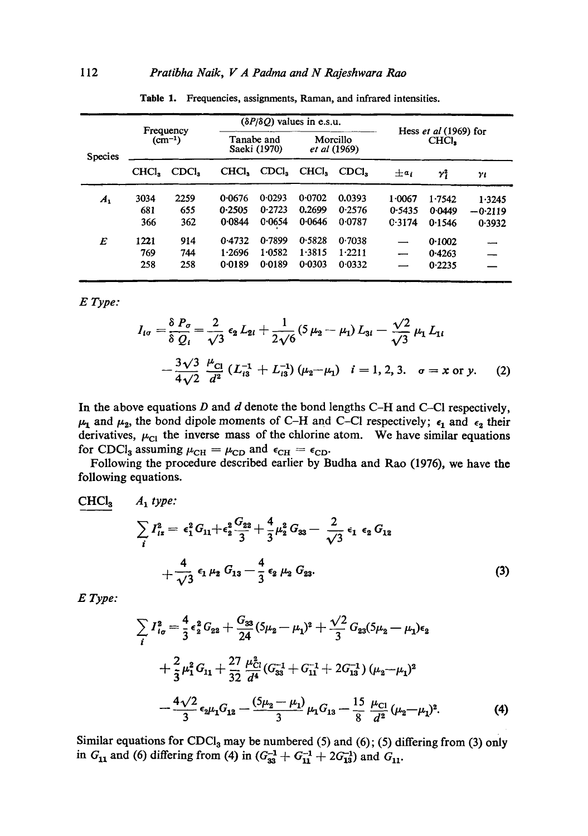|                    |                                              |                   |                            |                   | $(\delta P/\delta Q)$ values in e.s.u. |        |                                |        |           |
|--------------------|----------------------------------------------|-------------------|----------------------------|-------------------|----------------------------------------|--------|--------------------------------|--------|-----------|
| <b>Species</b>     | Frequency<br>$\left( \text{cm}^{-1} \right)$ |                   | Tanabe and<br>Saeki (1970) |                   | Morcillo<br>et al (1969)               |        | Hess et al (1969) for<br>CHCI. |        |           |
|                    | CHCl,                                        | CDCl <sub>3</sub> | CHCI,                      | CDCl <sub>3</sub> | CHCI,                                  | CDCI.  | $\pm a_i$                      | γi     | YI        |
| $\boldsymbol{A}_1$ | 3034                                         | 2259              | 0.0676                     | 0.0293            | 0.0702                                 | 0.0393 | 1.0067                         | 1.7542 | 1.3245    |
|                    | 681                                          | 655               | 0.2505                     | 0.2723            | 0.2699                                 | 0.2576 | 0.5435                         | 0.0449 | $-0.2119$ |
|                    | 366                                          | 362               | 0.0844                     | 0.0654            | 0.0646                                 | 0.0787 | C.3174                         | 0.1546 | 0.3932    |
| E                  | 1221                                         | 914               | 0.4732                     | 0.7899            | 0.5828                                 | 0.7038 | —                              | 0.1002 |           |
|                    | 769                                          | 744               | 1.2696                     | 1.0582            | 1.3815                                 | 1.2211 |                                | 0.4263 |           |
|                    | 258                                          | 258               | 0.0189                     | 0.0189            | 0.0303                                 | 0.0332 |                                | 0.2235 |           |

Table 1. Frequencies, assignments, Raman, and infrared intensities.

*E Type:* 

$$
I_{i\sigma} = \frac{\delta P_{\sigma}}{\delta Q_{i}} = \frac{2}{\sqrt{3}} \epsilon_{2} L_{2i} + \frac{1}{2\sqrt{6}} (5 \mu_{2} - \mu_{1}) L_{3i} - \frac{\sqrt{2}}{\sqrt{3}} \mu_{1} L_{1i}
$$
  

$$
- \frac{3\sqrt{3}}{4\sqrt{2}} \frac{\mu_{\text{Cl}}}{d^{2}} (L_{i3}^{-1} + L_{i3}^{-1}) (\mu_{2} - \mu_{1}) \quad i = 1, 2, 3. \quad \sigma = x \text{ or } y. \tag{2}
$$

In the above equations  $D$  and  $d$  denote the bond lengths C-H and C-Cl respectively,  $\mu_1$  and  $\mu_2$ , the bond dipole moments of C-H and C-Cl respectively;  $\epsilon_1$  and  $\epsilon_2$  their derivatives,  $\mu_{\text{cl}}$  the inverse mass of the chlorine atom. We have similar equations for CDCl<sub>3</sub> assuming  $\mu_{CH} = \mu_{CD}$  and  $\epsilon_{CH} = \epsilon_{CD}$ .

Following the procedure described earlier by Budha and Rao (1976), we have the following equations.

$$
\frac{\text{CHCl}_{3}}{\sum_{i} I_{iz}^{2} = \epsilon_{1}^{2} G_{11} + \epsilon_{2}^{2} \frac{G_{22}}{3} + \frac{4}{3} \mu_{2}^{2} G_{33} - \frac{2}{\sqrt{3}} \epsilon_{1} \epsilon_{2} G_{12} + \frac{4}{\sqrt{3}} \epsilon_{1} \mu_{2} G_{13} - \frac{4}{3} \epsilon_{2} \mu_{2} G_{23}.
$$
 (3)

*E Type:* 

$$
\sum_{i} I_{i\sigma}^{2} = \frac{4}{3} \epsilon_{2}^{2} G_{22} + \frac{G_{33}}{24} (5\mu_{2} - \mu_{1})^{2} + \frac{\sqrt{2}}{3} G_{23} (5\mu_{2} - \mu_{1}) \epsilon_{2} \n+ \frac{2}{3} \mu_{1}^{2} G_{11} + \frac{27}{32} \frac{\mu_{Cl}^{2}}{d^{4}} (G_{33}^{-1} + G_{11}^{-1} + 2G_{13}^{-1}) (\mu_{2} - \mu_{1})^{2} \n- \frac{4\sqrt{2}}{3} \epsilon_{2} \mu_{1} G_{12} - \frac{(5\mu_{2} - \mu_{1})}{3} \mu_{1} G_{13} - \frac{15}{8} \frac{\mu_{Cl}}{d^{2}} (\mu_{2} - \mu_{1})^{2}.
$$
\n(4)

Similar equations for  $CDCl<sub>3</sub>$  may be numbered (5) and (6); (5) differing from (3) only in  $G_{11}$  and (6) differing from (4) in  $(G_{33}^{-1} + G_{11}^{-1} + 2G_{13}^{-1})$  and  $G_{11}$ .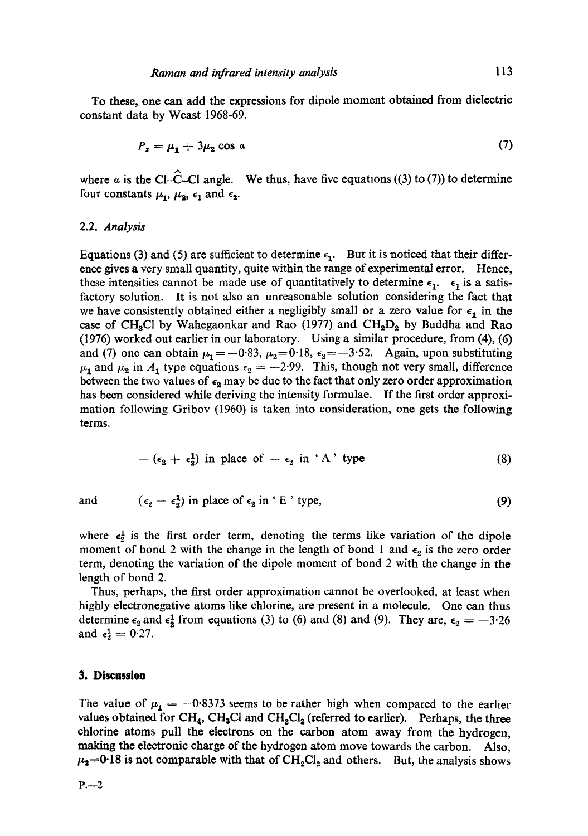To these, one can add the expressions for dipole moment obtained from dielectric constant data by Weast 1968-69.

$$
P_z = \mu_1 + 3\mu_2 \cos a \tag{7}
$$

where  $\alpha$  is the Cl-C-Cl angle. We thus, have five equations ((3) to (7)) to determine four constants  $\mu_1$ ,  $\mu_2$ ,  $\epsilon_1$  and  $\epsilon_2$ .

#### 2.2. *Analysis*

Equations (3) and (5) are sufficient to determine  $\epsilon_1$ . But it is noticed that their difference gives a very small quantity, quite within the range of experimental error. Hence, these intensities cannot be made use of quantitatively to determine  $\epsilon_1$ .  $\epsilon_1$  is a satisfactory solution. It is not also an unreasonable solution considering the fact that we have consistently obtained either a negligibly small or a zero value for  $\epsilon_1$  in the case of CH<sub>3</sub>Cl by Wahegaonkar and Rao (1977) and  $CH_2D_2$  by Buddha and Rao (1976) worked out earlier in our laboratory. Using a similar procedure, from (4), (6) and (7) one can obtain  $\mu_1=-0.83$ ,  $\mu_2=0.18$ ,  $\epsilon_2=-3.52$ . Again, upon substituting  $\mu_1$  and  $\mu_2$  in  $A_1$  type equations  $\epsilon_2 = -2.99$ . This, though not very small, difference between the two values of  $\epsilon_2$  may be due to the fact that only zero order approximation has been considered while deriving the intensity formulae. If the first order approximation following Gribov (1960) is taken into consideration, one gets the following terms.

$$
-(\epsilon_2 + \epsilon_2^1) \text{ in place of } -\epsilon_2 \text{ in 'A' type}
$$
 (8)

and  $(\epsilon_2 - \epsilon_2^1)$  in place of  $\epsilon_2$  in ' E ' type, (9)

where  $\epsilon_2^1$  is the first order term, denoting the terms like variation of the dipole moment of bond 2 with the change in the length of bond 1 and  $\epsilon_2$  is the zero order term, denoting the variation of the dipole moment of bond 2 with the change in the length of bond 2.

Thus, perhaps, the first order approximation cannot be overlooked, at least when highly electronegative atoms like chlorine, are present in a molecule. One can thus determine  $\epsilon_2$  and  $\epsilon_2^1$  from equations (3) to (6) and (8) and (9). They are,  $\epsilon_2 = -3.26$ and  $\epsilon_2^1 = 0.27$ .

# **3. Discussion**

The value of  $\mu_1 = -0.8373$  seems to be rather high when compared to the earlier values obtained for CH<sub>4</sub>, CH<sub>3</sub>Cl and CH<sub>2</sub>Cl<sub>2</sub> (referred to earlier). Perhaps, the three chlorine atoms pull the electrons on the carbon atom away from the hydrogen, making the electronic charge of the hydrogen atom move towards the carbon. Also,  $\mu_2$ =0.18 is not comparable with that of CH<sub>2</sub>Cl<sub>2</sub> and others. But, the analysis shows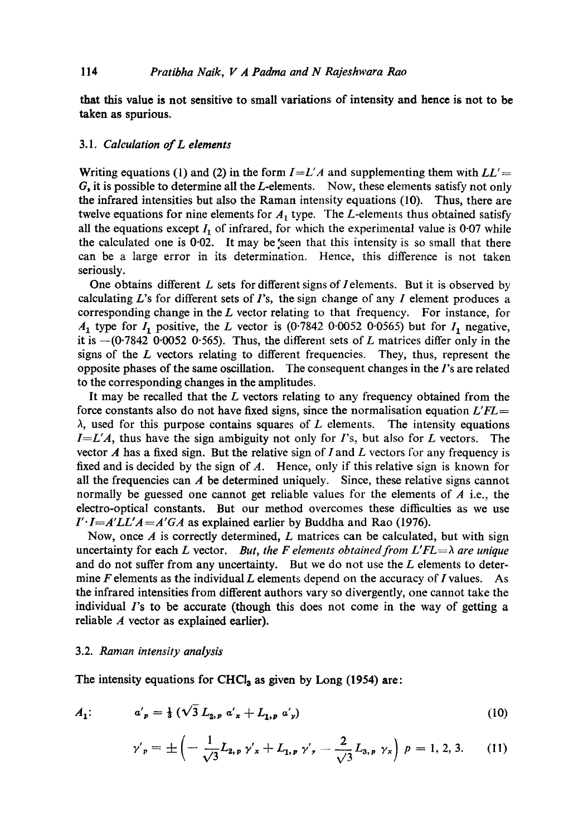that this value is not sensitive to small variations of intensity **and hence** is not to be **taken as spurious.** 

## *3.1. Calculation elL elements*

Writing equations (1) and (2) in the form  $I = L'A$  and supplementing them with  $LL' =$  $G$ , it is possible to determine all the  $L$ -elements. Now, these elements satisfy not only the infrared intensities but also the Raman intensity equations (10). Thus, there are twelve equations for nine elements for  $A_1$  type. The L-elements thus obtained satisfy all the equations except  $I_1$  of infrared, for which the experimental value is 0.07 while the calculated one is  $0.02$ . It may be seen that this intensity is so small that there can be a large error in its determination. Hence, this difference is not taken seriously.

One obtains different  $L$  sets for different signs of *I* elements. But it is observed by calculating L's for different sets of  $\Gamma$ 's, the sign change of any  $\Gamma$  element produces a corresponding change in the  $L$  vector relating to that frequency. For instance, for  $A_1$  type for  $I_1$  positive, the L vector is (0.7842 0.0052 0.0565) but for  $I_1$  negative, it is  $-(0.7842 \, 0.0052 \, 0.565)$ . Thus, the different sets of L matrices differ only in the signs of the  $L$  vectors relating to different frequencies. They, thus, represent the opposite phases of the same oscillation. The consequent changes in the l's are related to the corresponding changes in the amplitudes.

It may be recalled that the  $L$  vectors relating to any frequency obtained from the force constants also do not have fixed signs, since the normalisation equation *L'FL =*   $\lambda$ , used for this purpose contains squares of L elements. The intensity equations  $I=L'A$ , thus have the sign ambiguity not only for  $I$ 's, but also for  $L$  vectors. The vector  $A$  has a fixed sign. But the relative sign of I and L vectors for any frequency is fixed and is decided by the sign of  $A$ . Hence, only if this relative sign is known for all the frequencies can  $\boldsymbol{A}$  be determined uniquely. Since, these relative signs cannot normally be guessed one cannot get reliable values for the elements of  $A$  i.e., the electro-optical constants. But our method overcomes these difficulties as we use  $I' \cdot I = A' L L' A = A' G A$  as explained earlier by Buddha and Rao (1976).

Now, once  $\vec{A}$  is correctly determined,  $\vec{L}$  matrices can be calculated, but with sign uncertainty for each L vector. *But, the F elements obtained from L'FL* $\Rightarrow$  *are unique* and do not suffer from any uncertainty. But we do not use the  $L$  elements to determine  $F$  elements as the individual  $L$  elements depend on the accuracy of  $I$  values. As the infrared intensities from different authors vary so divergently, one cannot take the individual  $\Gamma$ 's to be accurate (though this does not come in the way of getting a reliable A vector as explained earlier).

#### 3.2. *Raman intensity analysis*

The intensity equations for CHCl<sub>a</sub> as given by Long (1954) are:

$$
A_1: \t a'_p = \frac{1}{3} \left( \sqrt{3} \, L_{2,p} \, a'_x + L_{1,p} \, a'_y \right) \t (10)
$$

$$
\gamma'_{p} = \pm \left( -\frac{1}{\sqrt{3}} L_{2,p} \gamma'_{x} + L_{1,p} \gamma'_{y} - \frac{2}{\sqrt{3}} L_{3,p} \gamma_{x} \right) p = 1, 2, 3. \quad (11)
$$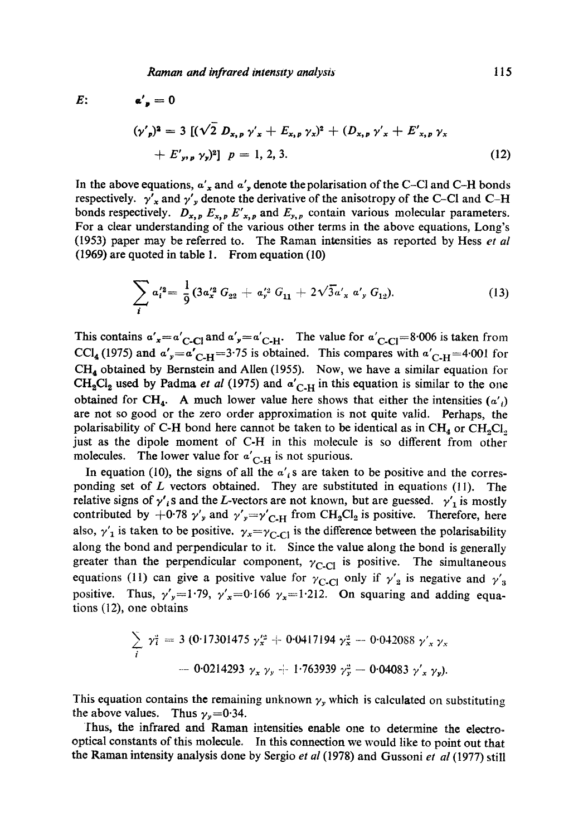$E:$   $\alpha' = 0$ 

$$
(\gamma'_{p})^{2} = 3 [(\sqrt{2} D_{x,p} \gamma'_{x} + E_{x,p} \gamma_{x})^{2} + (D_{x,p} \gamma'_{x} + E'_{x,p} \gamma_{x} + E'_{y,p} \gamma_{y})^{2}] p = 1, 2, 3.
$$
 (12)

In the above equations,  $a'_x$  and  $a'_y$  denote the polarisation of the C-CI and C-H bonds respectively.  $\gamma'_x$  and  $\gamma'_y$  denote the derivative of the anisotropy of the C-CI and C-H bonds respectively.  $D_{x,p} E_{x,p} E'_{x,p}$  and  $E_{y,p}$  contain various molecular parameters. For a clear understanding of the various other terms in the above equations, Long's (1953) paper may be referred to. The Raman intensities as reported by Hess *et al*  (1969) are quoted in table 1. From equation (10)

$$
\sum_{i} a_{i}'^{2} = \frac{1}{9} (3 a_{x}'^{2} G_{22} + a_{y}'^{2} G_{11} + 2 \sqrt{3} a_{x}' a_{y} G_{12}).
$$
\n(13)

This contains  $\alpha'_{x} = \alpha'_{C-C}$  and  $\alpha'_{y} = \alpha'_{C-H}$ . The value for  $\alpha'_{C-C} = 8.006$  is taken from CCI<sub>4</sub> (1975) and  $a'_y=a'_{\text{C-H}}=3.75$  is obtained. This compares with  $a'_{\text{C-H}}=4.001$  for  $CH<sub>4</sub>$  obtained by Bernstein and Allen (1955). Now, we have a similar equation for  $CH<sub>2</sub>Cl<sub>2</sub>$  used by Padma *et al* (1975) and  $\alpha'_{C,H}$  in this equation is similar to the one obtained for CH<sub>4</sub>. A much lower value here shows that either the intensities  $(a')$ are not so good or the zero order approximation is not quite valid. Perhaps, the polarisability of C-H bond here cannot be taken to be identical as in  $CH<sub>4</sub>$  or  $CH<sub>3</sub>Cl<sub>3</sub>$ just as the dipole moment of C-H in this molecule is so different from other molecules. The lower value for  $a'_{\text{C-H}}$  is not spurious.

In equation (10), the signs of all the  $a'_i$  s are taken to be positive and the corresponding set of  $L$  vectors obtained. They are substituted in equations (11). The relative signs of  $\gamma'$  s and the L-vectors are not known, but are guessed.  $\gamma'$  is mostly contributed by  $+0.78$   $\gamma'$ , and  $\gamma'$ ,  $=\gamma'_{C-H}$  from CH<sub>2</sub>Cl<sub>2</sub> is positive. Therefore, here also,  $\gamma'_{1}$  is taken to be positive.  $\gamma_{x}=\gamma_{C-C}$  is the difference between the polarisability along the bond and perpendicular to it. Since the value along the bond is generally greater than the perpendicular component,  $\gamma_{C-C}$  is positive. The simultaneous equations (11) can give a positive value for  $\gamma_{C\text{-}Cl}$  only if  $\gamma_2'$  is negative and  $\gamma_3'$ positive. Thus,  $\gamma'_{y}=1.79$ ,  $\gamma'_{x}=0.166$   $\gamma_{x}=1.212$ . On squaring and adding equations  $(12)$ , one obtains

$$
\sum_{i} \gamma_{i}^{2} = 3 (0.17301475 \gamma_{x}^{\prime 2} + 0.0417194 \gamma_{x}^{2} - 0.042088 \gamma_{x}^{\prime} \gamma_{x}
$$
  
- 0.0214293  $\gamma_{x} \gamma_{y} + 1.763939 \gamma_{x}^{2} - 0.04083 \gamma_{x}^{\prime} \gamma_{y}.$ 

This equation contains the remaining unknown  $\gamma_y$  which is calculated on substituting the above values. Thus  $\gamma_y=0.34$ .

Thus, the infrared and Raman intensities enable one to determine the electrooptical constants of this molecule. In this connection we would like to point out that the Raman intensity analysis done by Sergio *et al* (1978) and Gussoni *et al* (1977) still